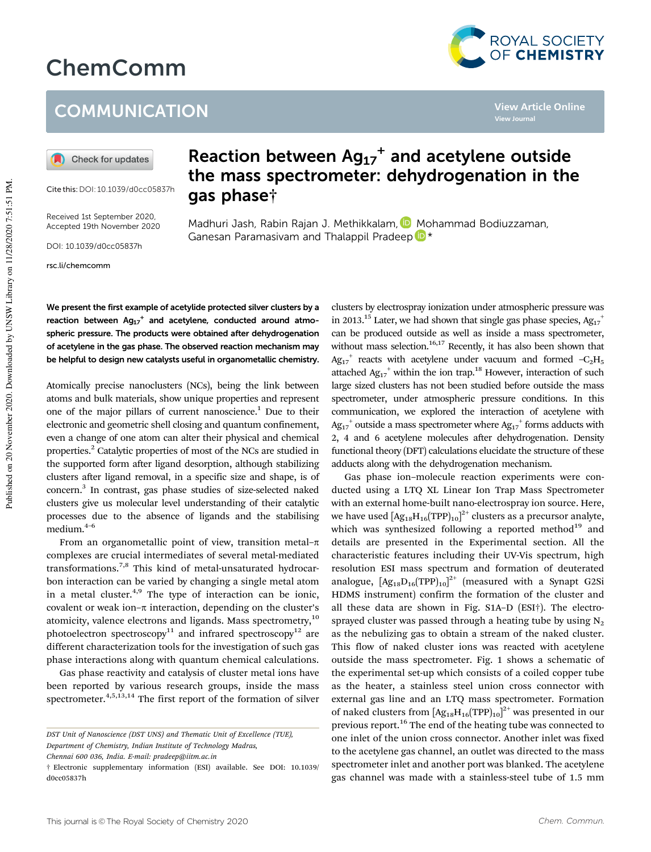# ChemComm



**View Journal**

**View Article Online**

### **COMMUNICATION**

Check for updates

Cite this:DOI: 10.1039/d0cc05837h

Received 1st September 2020, Accepted 19th November 2020

DOI: 10.1039/d0cc05837h

rsc.li/chemcomm

## Reaction between  $Ag_{17}$ <sup>+</sup> and acetylene outside the mass spectrometer: dehydrogenation in the gas phase†

Madhuri Jash, Rabin Rajan J. Methikkalam, D Mohammad Bodiuzzaman, Ganesan Paramasivam and Thalappil Pradeep <sup>b</sup> \*

We present the first example of acetylide protected silver clusters by a reaction between  $Ag_{17}$ <sup>+</sup> and acetylene, conducted around atmospheric pressure. The products were obtained after dehydrogenation of acetylene in the gas phase. The observed reaction mechanism may be helpful to design new catalysts useful in organometallic chemistry.

Atomically precise nanoclusters (NCs), being the link between atoms and bulk materials, show unique properties and represent one of the major pillars of current nanoscience.<sup>1</sup> Due to their electronic and geometric shell closing and quantum confinement, even a change of one atom can alter their physical and chemical properties.<sup>2</sup> Catalytic properties of most of the NCs are studied in the supported form after ligand desorption, although stabilizing clusters after ligand removal, in a specific size and shape, is of concern.<sup>3</sup> In contrast, gas phase studies of size-selected naked clusters give us molecular level understanding of their catalytic processes due to the absence of ligands and the stabilising medium.4–6

From an organometallic point of view, transition metal- $\pi$ complexes are crucial intermediates of several metal-mediated transformations.7,8 This kind of metal-unsaturated hydrocarbon interaction can be varied by changing a single metal atom in a metal cluster. $4,9$  The type of interaction can be ionic, covalent or weak ion– $\pi$  interaction, depending on the cluster's atomicity, valence electrons and ligands. Mass spectrometry,<sup>10</sup> photoelectron spectroscopy<sup>11</sup> and infrared spectroscopy<sup>12</sup> are different characterization tools for the investigation of such gas phase interactions along with quantum chemical calculations.

Gas phase reactivity and catalysis of cluster metal ions have been reported by various research groups, inside the mass spectrometer.<sup>4,5,13,14</sup> The first report of the formation of silver clusters by electrospray ionization under atmospheric pressure was in 2013.<sup>15</sup> Later, we had shown that single gas phase species,  $Ag_{17}^+$ can be produced outside as well as inside a mass spectrometer, without mass selection.<sup>16,17</sup> Recently, it has also been shown that  $Ag_{17}^+$  reacts with acetylene under vacuum and formed  $-C_2H_5$ attached  $Ag_{17}$ <sup>+</sup> within the ion trap.<sup>18</sup> However, interaction of such large sized clusters has not been studied before outside the mass spectrometer, under atmospheric pressure conditions. In this communication, we explored the interaction of acetylene with  $\text{Ag}_{17}^+$  outside a mass spectrometer where  $\text{Ag}_{17}^+$  forms adducts with 2, 4 and 6 acetylene molecules after dehydrogenation. Density functional theory (DFT) calculations elucidate the structure of these adducts along with the dehydrogenation mechanism.

Gas phase ion–molecule reaction experiments were conducted using a LTQ XL Linear Ion Trap Mass Spectrometer with an external home-built nano-electrospray ion source. Here, we have used  $[\rm{Ag_{18}H_{16}(TPP)_{10}}]^{2+}$  clusters as a precursor analyte, which was synthesized following a reported method<sup>19</sup> and details are presented in the Experimental section. All the characteristic features including their UV-Vis spectrum, high resolution ESI mass spectrum and formation of deuterated analogue,  $[{\rm Ag}_{18}{\rm D}_{16}({\rm TPP})_{10}]^{2+}$  (measured with a Synapt G2Si HDMS instrument) confirm the formation of the cluster and all these data are shown in Fig. S1A–D (ESI†). The electrosprayed cluster was passed through a heating tube by using  $N_2$ as the nebulizing gas to obtain a stream of the naked cluster. This flow of naked cluster ions was reacted with acetylene outside the mass spectrometer. Fig. 1 shows a schematic of the experimental set-up which consists of a coiled copper tube as the heater, a stainless steel union cross connector with external gas line and an LTQ mass spectrometer. Formation of naked clusters from  $[Ag_{18}H_{16}(TPP)_{10}]^{2+}$  was presented in our previous report.<sup>16</sup> The end of the heating tube was connected to one inlet of the union cross connector. Another inlet was fixed to the acetylene gas channel, an outlet was directed to the mass spectrometer inlet and another port was blanked. The acetylene gas channel was made with a stainless-steel tube of 1.5 mm

*DST Unit of Nanoscience (DST UNS) and Thematic Unit of Excellence (TUE), Department of Chemistry, Indian Institute of Technology Madras,*

*Chennai 600 036, India. E-mail: pradeep@iitm.ac.in*

<sup>†</sup> Electronic supplementary information (ESI) available. See DOI: 10.1039/ d0cc05837h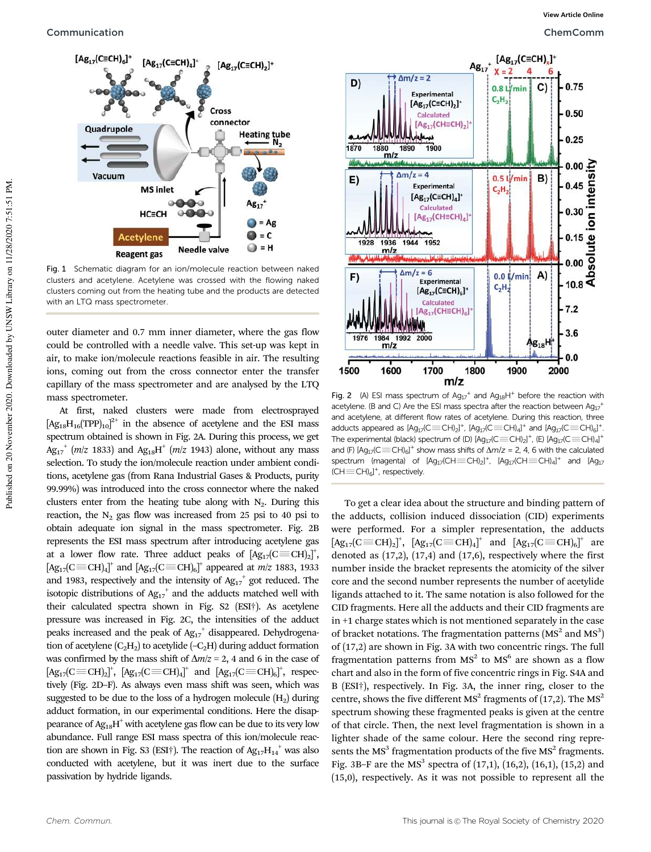

Fig. 1 Schematic diagram for an ion/molecule reaction between naked clusters and acetylene. Acetylene was crossed with the flowing naked clusters coming out from the heating tube and the products are detected with an LTQ mass spectrometer

outer diameter and 0.7 mm inner diameter, where the gas flow could be controlled with a needle valve. This set-up was kept in air, to make ion/molecule reactions feasible in air. The resulting ions, coming out from the cross connector enter the transfer capillary of the mass spectrometer and are analysed by the LTQ mass spectrometer.

At first, naked clusters were made from electrosprayed  $[Ag_{18}H_{16}(TPP)_{10}]^{2+}$  in the absence of acetylene and the ESI mass spectrum obtained is shown in Fig. 2A. During this process, we get  $\text{Ag}_{17}^+$  (*m*/*z* 1833) and  $\text{Ag}_{18}H^+$  (*m*/*z* 1943) alone, without any mass selection. To study the ion/molecule reaction under ambient conditions, acetylene gas (from Rana Industrial Gases & Products, purity 99.99%) was introduced into the cross connector where the naked clusters enter from the heating tube along with  $N_2$ . During this reaction, the  $N_2$  gas flow was increased from 25 psi to 40 psi to obtain adequate ion signal in the mass spectrometer. Fig. 2B represents the ESI mass spectrum after introducing acetylene gas at a lower flow rate. Three adduct peaks of  $[\text{Ag}_{17}(\text{C}\text{ }\equiv\text{CH})_{2}]^{+}$ ,  $[\text{Ag}_{17}(\text{C}\text{ }\equiv \text{CH})_{4}]^{+}$  and  $[\text{Ag}_{17}(\text{C}\text{ }\equiv \text{CH})_{6}]^{+}$  appeared at *m*/*z* 1883, 1933 and 1983, respectively and the intensity of  $Ag_{17}^+$  got reduced. The isotopic distributions of  $Ag_{17}^+$  and the adducts matched well with their calculated spectra shown in Fig. S2 (ESI†). As acetylene pressure was increased in Fig. 2C, the intensities of the adduct peaks increased and the peak of  $Ag_{17}$ <sup>+</sup> disappeared. Dehydrogenation of acetylene  $(C_2H_2)$  to acetylide  $(-C_2H)$  during adduct formation was confirmed by the mass shift of  $\Delta m/z = 2$ , 4 and 6 in the case of  $[\text{Ag}_{17}(\text{C}\equiv \text{CH})_2]^{\dagger}$ ,  $[\text{Ag}_{17}(\text{C}\equiv \text{CH})_4]^{\dagger}$  and  $[\text{Ag}_{17}(\text{C}\equiv \text{CH})_6]^{\dagger}$ , respectively (Fig. 2D–F). As always even mass shift was seen, which was suggested to be due to the loss of a hydrogen molecule  $(H<sub>2</sub>)$  during adduct formation, in our experimental conditions. Here the disappearance of  $\text{Ag}_{18}\text{H}^+$  with acetylene gas flow can be due to its very low abundance. Full range ESI mass spectra of this ion/molecule reaction are shown in Fig. S3 (ESI†). The reaction of  $Ag_{17}H_{14}^+$  was also conducted with acetylene, but it was inert due to the surface passivation by hydride ligands.



Fig. 2 (A) ESI mass spectrum of  $Ag_{17}^+$  and  $Ag_{18}H^+$  before the reaction with acetylene. (B and C) Are the ESI mass spectra after the reaction between  $Ag_{17}^+$ and acetylene, at different flow rates of acetylene. During this reaction, three adducts appeared as  $[Ag_{17}(C\text{ }\equiv\text{CH})_2]^+$ ,  $[Ag_{17}(C\text{ }\equiv\text{CH})_4]^+$  and  $[Ag_{17}(C\text{ }\equiv\text{CH})_6]^+$ . The experimental (black) spectrum of (D)  $[Ag_{17}(C\text{ }\equiv\text{CH})_{2}]^{+}$ , (E)  $[Ag_{17}(C\text{ }\equiv\text{CH})_{4}]^{+}$ and (F)  $[Ag_{17}/C \equiv CH]_{6}]^{+}$  show mass shifts of  $\Delta m/z = 2$ , 4, 6 with the calculated spectrum (magenta) of  $[Ag_{17}(CH \equiv CH)]_2]^+$ ,  $[Ag_{17}(CH \equiv CH)]_4]^+$  and  $[Ag_{17}]$  $(\text{CH} \equiv \text{CH})_6]^+$ , respectively.

To get a clear idea about the structure and binding pattern of the adducts, collision induced dissociation (CID) experiments were performed. For a simpler representation, the adducts  $[\text{Ag}_{17}(\text{C}\text{ }\equiv \text{CH})_{2}]^{+}$ ,  $[\text{Ag}_{17}(\text{C}\text{ }\equiv \text{CH})_{4}]^{+}$  and  $[\text{Ag}_{17}(\text{C}\text{ }\equiv \text{CH})_{6}]^{+}$  are denoted as  $(17,2)$ ,  $(17,4)$  and  $(17,6)$ , respectively where the first number inside the bracket represents the atomicity of the silver core and the second number represents the number of acetylide ligands attached to it. The same notation is also followed for the CID fragments. Here all the adducts and their CID fragments are in +1 charge states which is not mentioned separately in the case of bracket notations. The fragmentation patterns  $(MS<sup>2</sup>$  and  $MS<sup>3</sup>)$ of (17,2) are shown in Fig. 3A with two concentric rings. The full fragmentation patterns from  $MS<sup>2</sup>$  to  $MS<sup>6</sup>$  are shown as a flow chart and also in the form of five concentric rings in Fig. S4A and B (ESI†), respectively. In Fig. 3A, the inner ring, closer to the centre, shows the five different  $MS<sup>2</sup>$  fragments of (17,2). The  $MS<sup>2</sup>$ spectrum showing these fragmented peaks is given at the centre of that circle. Then, the next level fragmentation is shown in a lighter shade of the same colour. Here the second ring represents the  $MS<sup>3</sup>$  fragmentation products of the five  $MS<sup>2</sup>$  fragments. Fig. 3B-F are the  $MS<sup>3</sup>$  spectra of (17,1), (16,2), (16,1), (15,2) and (15,0), respectively. As it was not possible to represent all the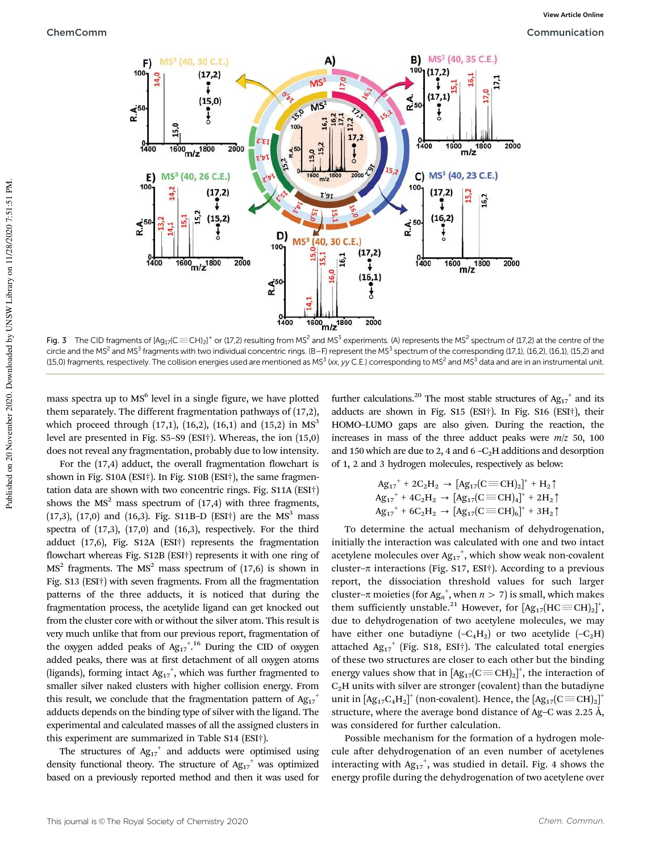

Fig. 3 The CID fragments of  $[Ag_{17}$ (C $\equiv$ CH)<sub>2</sub>)<sup>+</sup> or (17,2) resulting from MS<sup>2</sup> and MS<sup>3</sup> experiments. (A) represents the MS<sup>2</sup> spectrum of (17,2) at the centre of the circle and the MS<sup>2</sup> and MS<sup>3</sup> fragments with two individual concentric rings. (B–F) represent the MS<sup>3</sup> spectrum of the corresponding (17,1), (16,2), (16,1), (15,2) and (15,0) fragments, respectively. The collision energies used are mentioned as MS $^3$  (xx, yy C.E.) corresponding to MS $^2$  and MS $^3$  data and are in an instrumental unit.

mass spectra up to MS<sup>6</sup> level in a single figure, we have plotted them separately. The different fragmentation pathways of (17,2), which proceed through (17,1), (16,2), (16,1) and (15,2) in  $MS<sup>3</sup>$ level are presented in Fig. S5–S9 (ESI†). Whereas, the ion (15,0) does not reveal any fragmentation, probably due to low intensity.

For the (17,4) adduct, the overall fragmentation flowchart is shown in Fig. S10A (ESI†). In Fig. S10B (ESI†), the same fragmentation data are shown with two concentric rings. Fig. S11A (ESI†) shows the  $MS<sup>2</sup>$  mass spectrum of (17,4) with three fragments, (17,3), (17,0) and (16,3). Fig. S11B-D (ESI†) are the MS<sup>3</sup> mass spectra of  $(17,3)$ ,  $(17,0)$  and  $(16,3)$ , respectively. For the third adduct (17,6), Fig. S12A (ESI†) represents the fragmentation flowchart whereas Fig. S12B (ESI†) represents it with one ring of  $MS<sup>2</sup>$  fragments. The  $MS<sup>2</sup>$  mass spectrum of (17,6) is shown in Fig. S13 (ESI†) with seven fragments. From all the fragmentation patterns of the three adducts, it is noticed that during the fragmentation process, the acetylide ligand can get knocked out from the cluster core with or without the silver atom. This result is very much unlike that from our previous report, fragmentation of the oxygen added peaks of  $Ag_{17}^{+,16}$  During the CID of oxygen added peaks, there was at first detachment of all oxygen atoms (ligands), forming intact  $Ag_{17}^+$ , which was further fragmented to smaller silver naked clusters with higher collision energy. From this result, we conclude that the fragmentation pattern of  $A{g_{17}}^+$ adducts depends on the binding type of silver with the ligand. The experimental and calculated masses of all the assigned clusters in this experiment are summarized in Table S14 (ESI†).

The structures of  $Ag_{17}^+$  and adducts were optimised using density functional theory. The structure of  $Ag_{17}^+$  was optimized based on a previously reported method and then it was used for

further calculations.<sup>20</sup> The most stable structures of  $Ag_{17}^+$  and its adducts are shown in Fig. S15 (ESI†). In Fig. S16 (ESI†), their HOMO–LUMO gaps are also given. During the reaction, the increases in mass of the three adduct peaks were *m*/*z* 50, 100 and 150 which are due to 2, 4 and  $6 - C<sub>2</sub>H$  additions and desorption of 1, 2 and 3 hydrogen molecules, respectively as below:

$$
\begin{array}{c} {A g_{17}}^+ + 2 C_2 H_2 \rightarrow \left[ A g_{17} (C \!\equiv\! CH)_2 \right]^+ + H_2 \uparrow \\ {A g_{17}}^+ + 4 C_2 H_2 \rightarrow \left[ A g_{17} (C \!\equiv\! CH)_4 \right]^+ + 2 H_2 \uparrow \\ {A g_{17}}^+ + 6 C_2 H_2 \rightarrow \left[ A g_{17} (C \!\equiv\! CH)_6 \right]^+ + 3 H_2 \uparrow \end{array}
$$

To determine the actual mechanism of dehydrogenation, initially the interaction was calculated with one and two intact acetylene molecules over  $Ag_{17}^+$ , which show weak non-covalent cluster- $\pi$  interactions (Fig. S17, ESI†). According to a previous report, the dissociation threshold values for such larger cluster– $\pi$  moieties (for Ag<sub>n</sub><sup>+</sup>, when  $n > 7$ ) is small, which makes them sufficiently unstable.<sup>21</sup> However, for  $[\text{Ag}_{17}(\text{HC} \equiv \text{CH})_{2}]^{+}$ , due to dehydrogenation of two acetylene molecules, we may have either one butadiyne  $(-C_4H_2)$  or two acetylide  $(-C_2H)$ attached  $Ag_{17}$ <sup>+</sup> (Fig. S18, ESI<sup>+</sup>). The calculated total energies of these two structures are closer to each other but the binding energy values show that in  $[Ag_{17}(C\equiv CH)_2]^+$ , the interaction of  $C<sub>2</sub>H$  units with silver are stronger (covalent) than the butadiyne unit in  $[\text{Ag}_{17}\text{C}_{4}\text{H}_{2}]^{+}$  (non-covalent). Hence, the  $[\text{Ag}_{17}(\text{C}\text{ }\equiv\text{CH})_{2}]^{+}$ structure, where the average bond distance of Ag–C was  $2.25 \text{ Å}$ , was considered for further calculation.

Possible mechanism for the formation of a hydrogen molecule after dehydrogenation of an even number of acetylenes interacting with  $Ag_{17}$ <sup>+</sup>, was studied in detail. Fig. 4 shows the energy profile during the dehydrogenation of two acetylene over